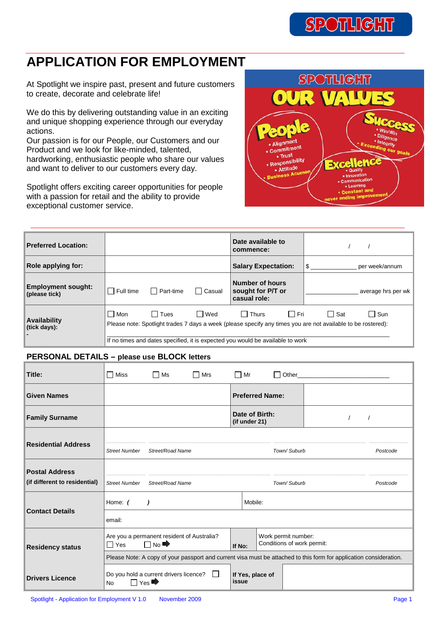### $SP($ **OTHGH**

## **APPLICATION FOR EMPLOYMENT**

At Spotlight we inspire past, present and future customers to create, decorate and celebrate life!

We do this by delivering outstanding value in an exciting and unique shopping experience through our everyday actions.

Our passion is for our People, our Customers and our Product and we look for like-minded, talented, hardworking, enthusiastic people who share our values and want to deliver to our customers every day.

Spotlight offers exciting career opportunities for people with a passion for retail and the ability to provide exceptional customer service.



| <b>Preferred Location:</b>                 |                                                                                                     |        | Date available to<br>commence:                              |                                                                                                                                     |
|--------------------------------------------|-----------------------------------------------------------------------------------------------------|--------|-------------------------------------------------------------|-------------------------------------------------------------------------------------------------------------------------------------|
| Role applying for:                         |                                                                                                     |        | <b>Salary Expectation:</b>                                  | \$<br>per week/annum                                                                                                                |
| <b>Employment sought:</b><br>(please tick) | I Part-time<br>Full time                                                                            | Casual | <b>Number of hours</b><br>sought for P/T or<br>casual role: | average hrs per wk                                                                                                                  |
| Availability<br>(tick days):               | l Tues<br>l I Mon<br>If no times and dates specified, it is expected you would be available to work | l Wed  | $\Box$ Fri<br>$\Box$ Thurs                                  | □ Sat<br>$\Box$ Sun<br>Please note: Spotlight trades 7 days a week (please specify any times you are not available to be rostered): |

## **PERSONAL DETAILS – please use BLOCK letters**

| Title:                                                 | Miss<br>П            | $\Box$ Ms                                               | □ Mrs        | $\Box$ Mr                       |                                                   |             | Other than the contract of the contract of the contract of the contract of the contract of the contract of the contract of the contract of the contract of the contract of the contract of the contract of the contract of the |          |
|--------------------------------------------------------|----------------------|---------------------------------------------------------|--------------|---------------------------------|---------------------------------------------------|-------------|--------------------------------------------------------------------------------------------------------------------------------------------------------------------------------------------------------------------------------|----------|
| <b>Given Names</b>                                     |                      |                                                         |              |                                 | <b>Preferred Name:</b>                            |             |                                                                                                                                                                                                                                |          |
| <b>Family Surname</b>                                  |                      |                                                         |              | Date of Birth:<br>(if under 21) |                                                   |             |                                                                                                                                                                                                                                |          |
| <b>Residential Address</b>                             | <b>Street Number</b> | Street/Road Name                                        |              |                                 |                                                   | Town/Suburb |                                                                                                                                                                                                                                | Postcode |
| <b>Postal Address</b><br>(if different to residential) | <b>Street Number</b> | Street/Road Name                                        |              |                                 |                                                   | Town/Suburb |                                                                                                                                                                                                                                | Postcode |
| <b>Contact Details</b>                                 | Home: (<br>email:    |                                                         |              | Mobile:                         |                                                   |             |                                                                                                                                                                                                                                |          |
| <b>Residency status</b>                                | $\Box$ Yes           | Are you a permanent resident of Australia?<br>$\Box$ No |              | If No:                          | Work permit number:<br>Conditions of work permit: |             | Please Note: A copy of your passport and current visa must be attached to this form for application consideration.                                                                                                             |          |
| <b>Drivers Licence</b>                                 | <b>No</b>            | Do you hold a current drivers licence?<br>Yes           | $\mathbf{I}$ | If Yes, place of<br>issue       |                                                   |             |                                                                                                                                                                                                                                |          |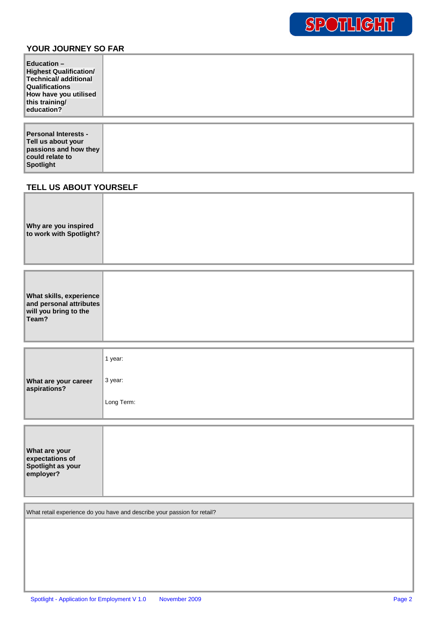## **YOUR JOURNEY SO FAR**

| Education $-$<br><b>Highest Qualification/</b><br><b>Technical/additional</b><br><b>Qualifications</b><br>How have you utilised<br>this training/<br>education? |  |
|-----------------------------------------------------------------------------------------------------------------------------------------------------------------|--|
| <b>Personal Interests -</b><br>Tell us about your<br>passions and how they                                                                                      |  |

## **TELL US ABOUT YOURSELF**

**could relate to Spotlight** 

| Why are you inspired<br>to work with Spotlight? |  |
|-------------------------------------------------|--|
|                                                 |  |

| <b>What are your career</b><br>aspirations? | 1 year:    |
|---------------------------------------------|------------|
|                                             | 3 year:    |
|                                             | Long Term: |

| <b>What are your</b><br>expectations of<br>Spotlight as your |  |  |  |
|--------------------------------------------------------------|--|--|--|
| employer?                                                    |  |  |  |

What retail experience do you have and describe your passion for retail?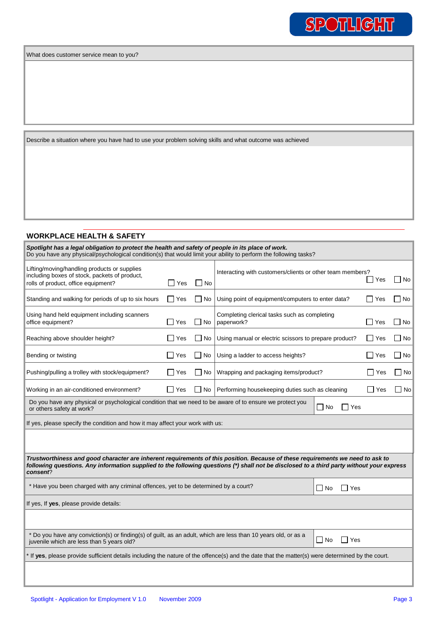Describe a situation where you have had to use your problem solving skills and what outcome was achieved

#### **WORKPLACE HEALTH & SAFETY**

| Spotlight has a legal obligation to protect the health and safety of people in its place of work.<br>Do you have any physical/psychological condition(s) that would limit your ability to perform the following tasks?                                                                  |            |           |                                                            |  |            |                         |
|-----------------------------------------------------------------------------------------------------------------------------------------------------------------------------------------------------------------------------------------------------------------------------------------|------------|-----------|------------------------------------------------------------|--|------------|-------------------------|
| Lifting/moving/handling products or supplies<br>including boxes of stock, packets of product,<br>rolls of product, office equipment?                                                                                                                                                    | l I Yes    | $\Box$ No | Interacting with customers/clients or other team members?  |  | Yes        | $\vert \ \ \vert$<br>No |
| Standing and walking for periods of up to six hours                                                                                                                                                                                                                                     | $\Box$ Yes | No        | Using point of equipment/computers to enter data?          |  | ∣ I Yes    | $\Box$ No               |
| Using hand held equipment including scanners<br>office equipment?                                                                                                                                                                                                                       | $\Box$ Yes | $\Box$ No | Completing clerical tasks such as completing<br>paperwork? |  | ]Yes       | $\Box$ No               |
| Reaching above shoulder height?                                                                                                                                                                                                                                                         | $\Box$ Yes | l No      | Using manual or electric scissors to prepare product?      |  | l Yes      | No<br>$\mathsf{L}$      |
| Bending or twisting                                                                                                                                                                                                                                                                     | $\Box$ Yes | No        | Using a ladder to access heights?                          |  | Yes        | $\vert$ $\vert$ No      |
| Pushing/pulling a trolley with stock/equipment?                                                                                                                                                                                                                                         | │ Yes      | $\Box$ No | Wrapping and packaging items/product?                      |  | $\Box$ Yes | $\blacksquare$ No       |
| Working in an air-conditioned environment?                                                                                                                                                                                                                                              | $\Box$ Yes | No        | Performing housekeeping duties such as cleaning            |  | $\Box$ Yes | No                      |
| Do you have any physical or psychological condition that we need to be aware of to ensure we protect you<br>$\Box$ No<br>□ Yes<br>or others safety at work?                                                                                                                             |            |           |                                                            |  |            |                         |
| If yes, please specify the condition and how it may affect your work with us:                                                                                                                                                                                                           |            |           |                                                            |  |            |                         |
|                                                                                                                                                                                                                                                                                         |            |           |                                                            |  |            |                         |
| Trustworthiness and good character are inherent requirements of this position. Because of these requirements we need to ask to<br>following questions. Any information supplied to the following questions (*) shall not be disclosed to a third party without your express<br>consent? |            |           |                                                            |  |            |                         |
| * Have you been charged with any criminal offences, yet to be determined by a court?<br>$\Box$ No<br>l Yes                                                                                                                                                                              |            |           |                                                            |  |            |                         |
| If yes, If yes, please provide details:                                                                                                                                                                                                                                                 |            |           |                                                            |  |            |                         |
|                                                                                                                                                                                                                                                                                         |            |           |                                                            |  |            |                         |
| * Do you have any conviction(s) or finding(s) of guilt, as an adult, which are less than 10 years old, or as a<br>$\Box$ No<br>$\Box$ Yes<br>juvenile which are less than 5 years old?                                                                                                  |            |           |                                                            |  |            |                         |

\* If **yes**, please provide sufficient details including the nature of the offence(s) and the date that the matter(s) were determined by the court.

SPOTLIGHT